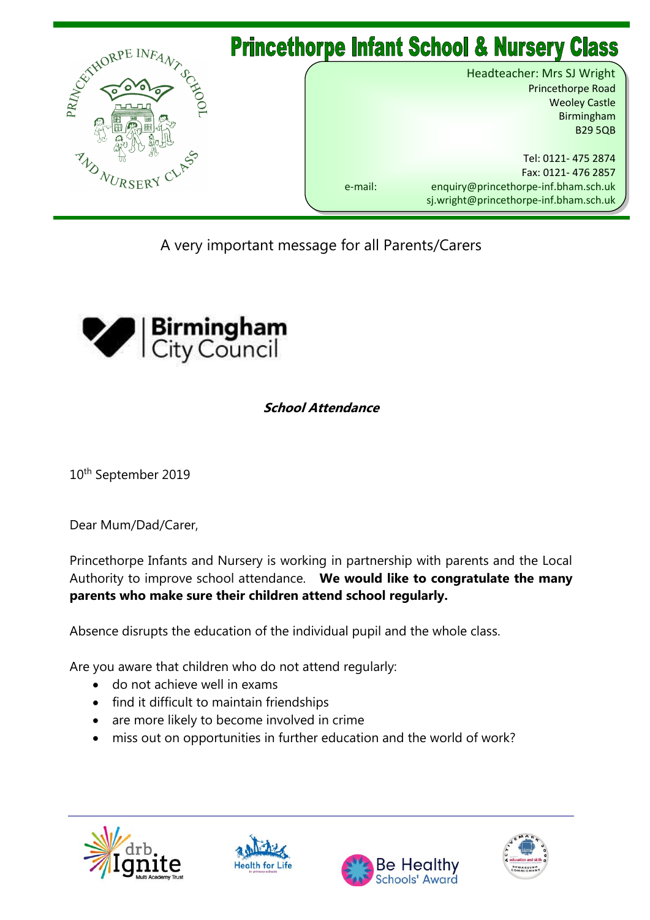

A very important message for all Parents/Carers



## **School Attendance**

10<sup>th</sup> September 2019

Dear Mum/Dad/Carer,

Princethorpe Infants and Nursery is working in partnership with parents and the Local Authority to improve school attendance. **We would like to congratulate the many parents who make sure their children attend school regularly.**

Absence disrupts the education of the individual pupil and the whole class.

Are you aware that children who do not attend regularly:

- do not achieve well in exams
- find it difficult to maintain friendships
- are more likely to become involved in crime
- miss out on opportunities in further education and the world of work?







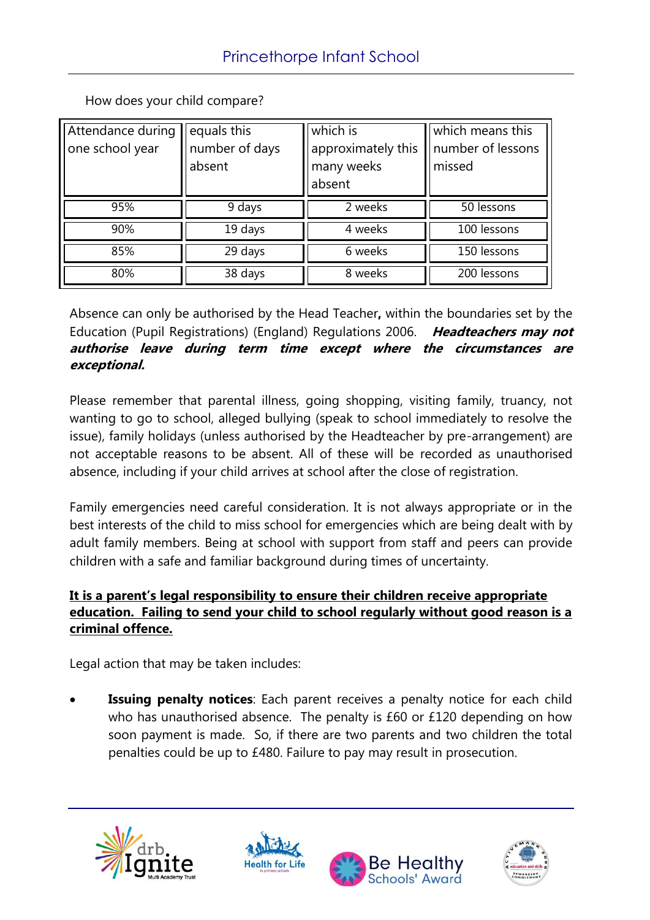How does your child compare?

| Attendance during<br>one school year | equals this<br>number of days<br>absent | which is<br>approximately this<br>many weeks<br>absent | which means this<br>number of lessons<br>missed |
|--------------------------------------|-----------------------------------------|--------------------------------------------------------|-------------------------------------------------|
| 95%                                  | 9 days                                  | 2 weeks                                                | 50 lessons                                      |
| 90%                                  | 19 days                                 | 4 weeks                                                | 100 lessons                                     |
| 85%                                  | 29 days                                 | 6 weeks                                                | 150 lessons                                     |
| 80%                                  | 38 days                                 | 8 weeks                                                | 200 lessons                                     |

Absence can only be authorised by the Head Teacher**,** within the boundaries set by the Education (Pupil Registrations) (England) Regulations 2006. **Headteachers may not authorise leave during term time except where the circumstances are exceptional.**

Please remember that parental illness, going shopping, visiting family, truancy, not wanting to go to school, alleged bullying (speak to school immediately to resolve the issue), family holidays (unless authorised by the Headteacher by pre-arrangement) are not acceptable reasons to be absent. All of these will be recorded as unauthorised absence, including if your child arrives at school after the close of registration.

Family emergencies need careful consideration. It is not always appropriate or in the best interests of the child to miss school for emergencies which are being dealt with by adult family members. Being at school with support from staff and peers can provide children with a safe and familiar background during times of uncertainty.

## **It is a parent's legal responsibility to ensure their children receive appropriate education. Failing to send your child to school regularly without good reason is a criminal offence.**

Legal action that may be taken includes:

 **Issuing penalty notices**: Each parent receives a penalty notice for each child who has unauthorised absence. The penalty is £60 or £120 depending on how soon payment is made. So, if there are two parents and two children the total penalties could be up to £480. Failure to pay may result in prosecution.